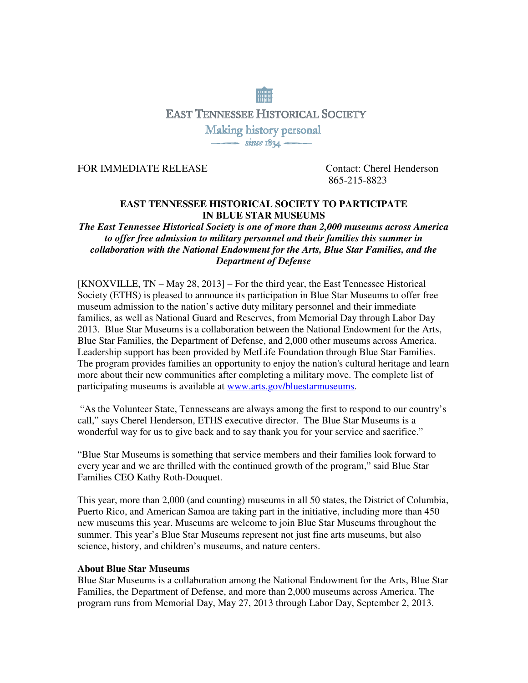# **EAST TENNESSEE HISTORICAL SOCIETY** Making history personal<br>
since 1834

FOR IMMEDIATE RELEASE Contact: Cherel Henderson

865-215-8823

# **EAST TENNESSEE HISTORICAL SOCIETY TO PARTICIPATE IN BLUE STAR MUSEUMS**

# *The East Tennessee Historical Society is one of more than 2,000 museums across America to offer free admission to military personnel and their families this summer in collaboration with the National Endowment for the Arts, Blue Star Families, and the Department of Defense*

[KNOXVILLE, TN – May 28, 2013] – For the third year, the East Tennessee Historical Society (ETHS) is pleased to announce its participation in Blue Star Museums to offer free museum admission to the nation's active duty military personnel and their immediate families, as well as National Guard and Reserves, from Memorial Day through Labor Day 2013. Blue Star Museums is a collaboration between the National Endowment for the Arts, Blue Star Families, the Department of Defense, and 2,000 other museums across America. Leadership support has been provided by MetLife Foundation through Blue Star Families. The program provides families an opportunity to enjoy the nation's cultural heritage and learn more about their new communities after completing a military move. The complete list of participating museums is available at www.arts.gov/bluestarmuseums.

 "As the Volunteer State, Tennesseans are always among the first to respond to our country's call," says Cherel Henderson, ETHS executive director. The Blue Star Museums is a wonderful way for us to give back and to say thank you for your service and sacrifice."

"Blue Star Museums is something that service members and their families look forward to every year and we are thrilled with the continued growth of the program," said Blue Star Families CEO Kathy Roth-Douquet.

This year, more than 2,000 (and counting) museums in all 50 states, the District of Columbia, Puerto Rico, and American Samoa are taking part in the initiative, including more than 450 new museums this year. Museums are welcome to join Blue Star Museums throughout the summer. This year's Blue Star Museums represent not just fine arts museums, but also science, history, and children's museums, and nature centers.

## **About Blue Star Museums**

Blue Star Museums is a collaboration among the National Endowment for the Arts, Blue Star Families, the Department of Defense, and more than 2,000 museums across America. The program runs from Memorial Day, May 27, 2013 through Labor Day, September 2, 2013.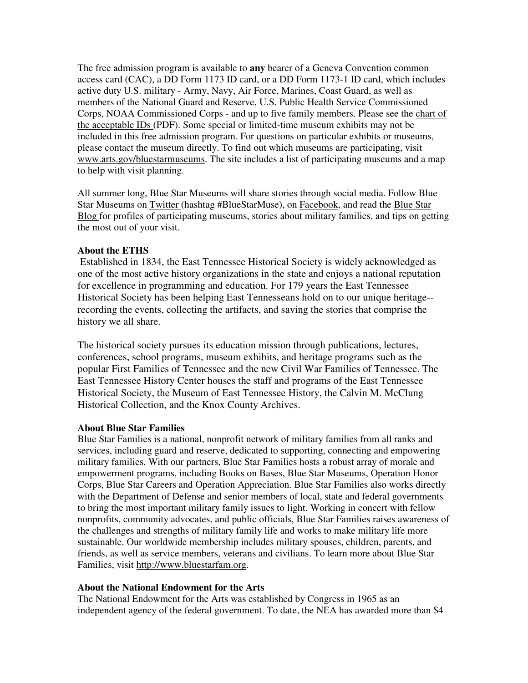The free admission program is available to **any** bearer of a Geneva Convention common access card (CAC), a DD Form 1173 ID card, or a DD Form 1173-1 ID card, which includes active duty U.S. military - Army, Navy, Air Force, Marines, Coast Guard, as well as members of the National Guard and Reserve, U.S. Public Health Service Commissioned Corps, NOAA Commissioned Corps - and up to five family members. Please see the chart of the acceptable IDs (PDF). Some special or limited-time museum exhibits may not be included in this free admission program. For questions on particular exhibits or museums, please contact the museum directly. To find out which museums are participating, visit www.arts.gov/bluestarmuseums. The site includes a list of participating museums and a map to help with visit planning.

All summer long, Blue Star Museums will share stories through social media. Follow Blue Star Museums on Twitter (hashtag #BlueStarMuse), on Facebook, and read the Blue Star Blog for profiles of participating museums, stories about military families, and tips on getting the most out of your visit.

## **About the ETHS**

Established in 1834, the East Tennessee Historical Society is widely acknowledged as one of the most active history organizations in the state and enjoys a national reputation for excellence in programming and education. For 179 years the East Tennessee Historical Society has been helping East Tennesseans hold on to our unique heritage- recording the events, collecting the artifacts, and saving the stories that comprise the history we all share.

The historical society pursues its education mission through publications, lectures, conferences, school programs, museum exhibits, and heritage programs such as the popular First Families of Tennessee and the new Civil War Families of Tennessee. The East Tennessee History Center houses the staff and programs of the East Tennessee Historical Society, the Museum of East Tennessee History, the Calvin M. McClung Historical Collection, and the Knox County Archives.

## **About Blue Star Families**

Blue Star Families is a national, nonprofit network of military families from all ranks and services, including guard and reserve, dedicated to supporting, connecting and empowering military families. With our partners, Blue Star Families hosts a robust array of morale and empowerment programs, including Books on Bases, Blue Star Museums, Operation Honor Corps, Blue Star Careers and Operation Appreciation. Blue Star Families also works directly with the Department of Defense and senior members of local, state and federal governments to bring the most important military family issues to light. Working in concert with fellow nonprofits, community advocates, and public officials, Blue Star Families raises awareness of the challenges and strengths of military family life and works to make military life more sustainable. Our worldwide membership includes military spouses, children, parents, and friends, as well as service members, veterans and civilians. To learn more about Blue Star Families, visit http://www.bluestarfam.org.

## **About the National Endowment for the Arts**

The National Endowment for the Arts was established by Congress in 1965 as an independent agency of the federal government. To date, the NEA has awarded more than \$4